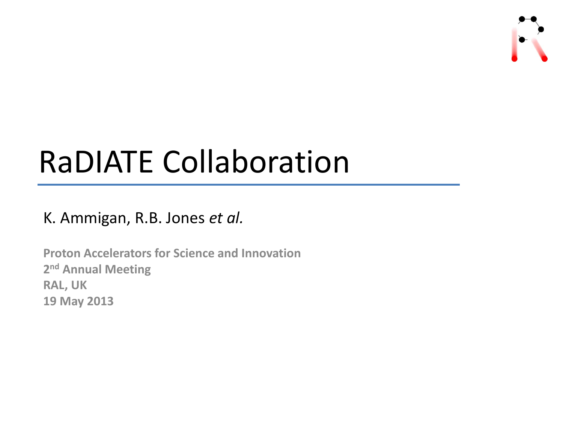

# RaDIATE Collaboration

#### K. Ammigan, R.B. Jones *et al.*

**Proton Accelerators for Science and Innovation 2n<sup>d</sup> Annual Meeting RAL, UK 19 May 2013**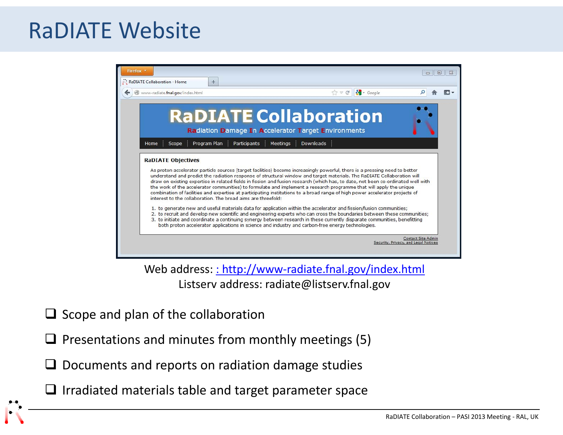### RaDIATE Website



Web address: <u>: http://www-radiate.fnal.gov/index.html</u> Listserv address: radiate@listserv.fnal.gov

- $\Box$  Scope and plan of the collaboration
- $\Box$  Presentations and minutes from monthly meetings (5)
- $\Box$  Documents and reports on radiation damage studies
- $\Box$  Irradiated materials table and target parameter space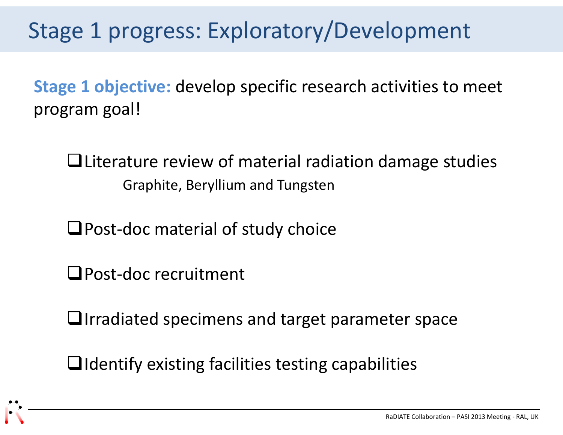## Stage 1 progress: Exploratory/Development

**Stage 1 objective:** develop specific research activities to meet program goal!

 $\Box$  Literature review of material radiation damage studies Graphite, Beryllium and Tungsten

Post‐doc material of study choice

 $\square$  Post-doc recruitment

 $\Box$ Irradiated specimens and target parameter space

 $\Box$ Identify existing facilities testing capabilities

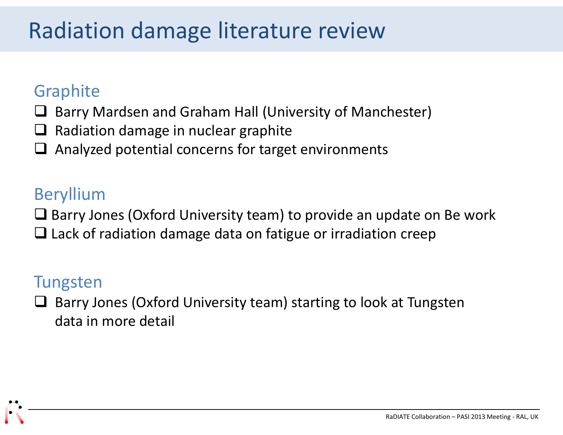## Radiation damage literature review

#### Graphite

- □ Barry Mardsen and Graham Hall (University of Manchester)
- $\Box$ Radiation damage in nuclear graphite
- $\Box$  Analyzed potential concerns for target environments

### Beryllium

 $\square$  Barry Jones (Oxford University team) to provide an update on Be work  $\Box$  Lack of radiation damage data on fatigue or irradiation creep

### Tungsten

 $\Box$  Barry Jones (Oxford University team) starting to look at Tungsten data in more detail

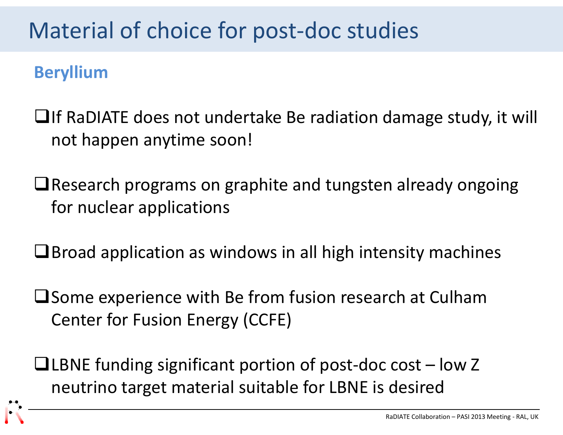## Material of choice for post‐doc studies

### **Beryllium**

 $\Box$ If RaDIATE does not undertake Be radiation damage study, it will not happen anytime soon!

 $\square$ Research programs on graphite and tungsten already ongoing for nuclear applications

 $\square$  Broad application as windows in all high intensity machines

 $\square$  Some experience with Be from fusion research at Culham Center for Fusion Energy (CCFE)

LBNE funding significant portion of post‐doc cost – low Z neutrino target material suitable for LBNE is desired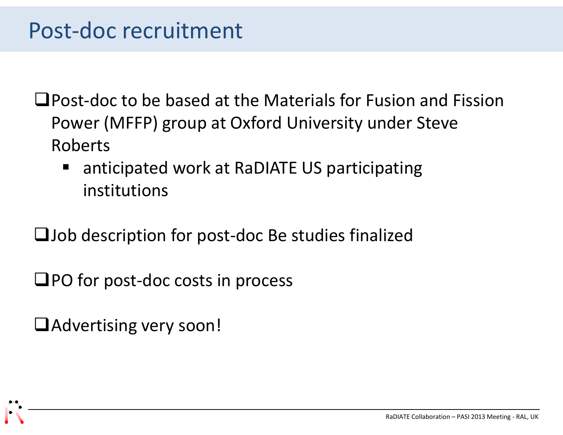### Post‐doc recruitment

 $\square$  Post-doc to be based at the Materials for Fusion and Fission Power (MFFP) group at Oxford University under Steve Roberts

 anticipated work at RaDIATE US participating institutions

Job description for post‐doc Be studies finalized

 $\square$ PO for post-doc costs in process

Advertising very soon!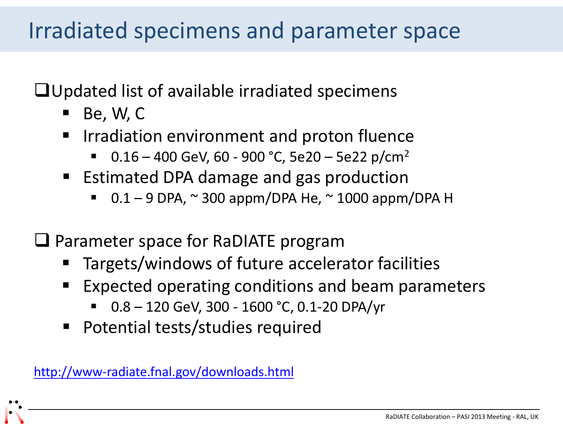## Irradiated specimens and parameter space

 $\Box$  Updated list of available irradiated specimens

- $\blacksquare$  Be, W, C
- **Indiation environment and proton fluence** 
	- П ■  $0.16 - 400$  GeV, 60 - 900 °C, 5e20  $-$  5e22 p/cm<sup>2</sup>
- **Estimated DPA damage and gas production** 
	- П  $-0.1 - 9$  DPA,  $\sim$  300 appm/DPA He,  $\sim$  1000 appm/DPA H
- □ Parameter space for RaDIATE program
	- Targets/windows of future accelerator facilities
	- Expected operating conditions and beam parameters
		- П 0.8 – 120 GeV, 300 ‐ 1600 °C, 0.1‐20 DPA/yr
	- **Potential tests/studies required**

http://www‐radiate.fnal.gov/downloads.html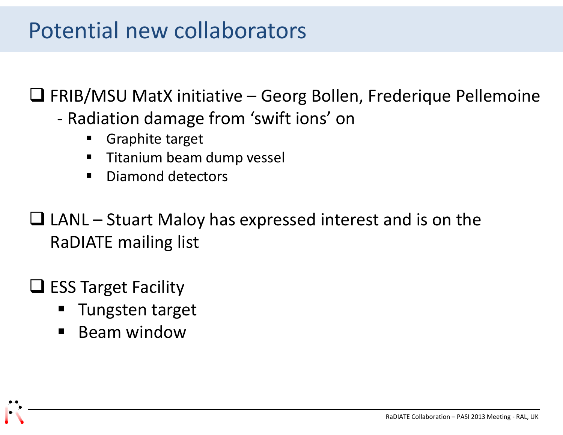### Potential new collaborators

### $\Box$  FRIB/MSU MatX initiative – Georg Bollen, Frederique Pellemoine

- ‐ Radiation damage from 'swift ions' on
	- ٠ Graphite target
	- $\blacksquare$ **Titanium beam dump vessel**
	- $\blacksquare$ **•** Diamond detectors

 $\Box$  LANL – Stuart Maloy has expressed interest and is on the RaDIATE mailing list

 $\square$  ESS Target Facility

- Tungsten target
- $\blacksquare$ **Beam window**

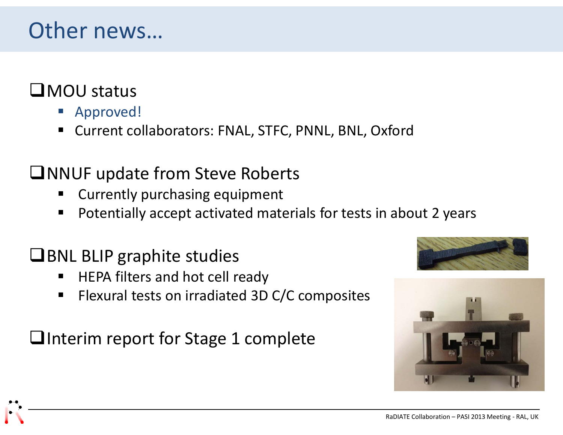### Other news…

### $\square$ MOU status

- **In the first** Approved!
- $\blacksquare$ Current collaborators: FNAL, STFC, PNNL, BNL, Oxford

### **QNNUF update from Steve Roberts**

- Currently purchasing equipment
- $\blacksquare$ Potentially accept activated materials for tests in about 2 years

### $\square$  BNL BLIP graphite studies

- $\blacksquare$ ■ HEPA filters and hot cell ready
- $\blacksquare$ **FILE FILE 19 TEN 18 TEN ISSON TESTS** FILE STATES

 $\Box$ Interim report for Stage 1 complete





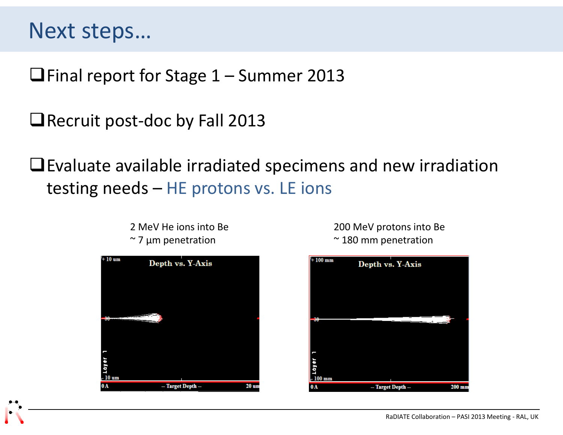### Next steps…

 $\Box$  Final report for Stage 1 – Summer 2013

■Recruit post-doc by Fall 2013

 $\square$  Evaluate available irradiated specimens and new irradiation testing needs – HE protons vs. LE ions

> 2 MeV He ions into Be  $\sim$  7  $\mu$ m penetration



200 MeV protons into Be  $\degree$  180 mm penetration

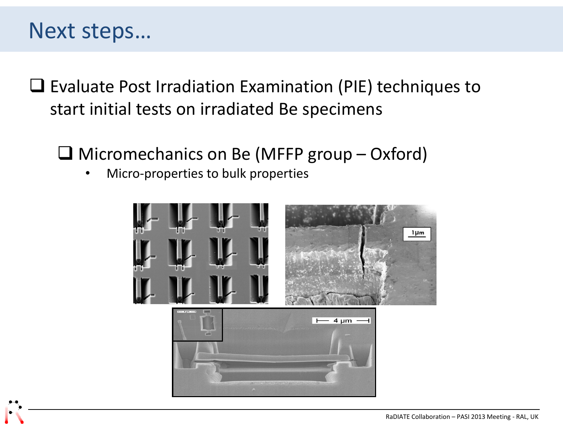### Next steps…

- $\square$  Evaluate Post Irradiation Examination (PIE) techniques to start initial tests on irradiated Be specimens
	- $\Box$  Micromechanics on Be (MFFP group Oxford)
		- •Micro‐properties to bulk properties

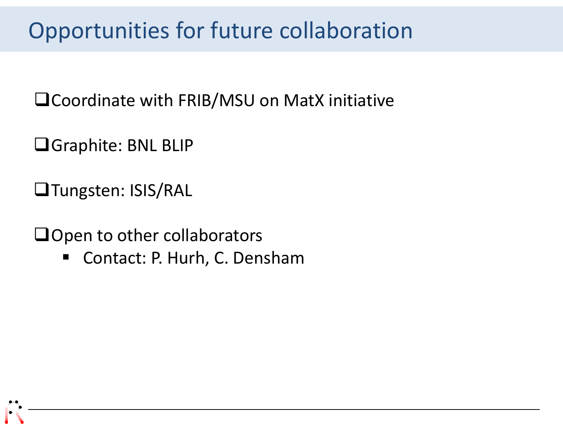## Opportunities for future collaboration

■Coordinate with FRIB/MSU on MatX initiative

**O**Graphite: BNL BLIP

**□Tungsten: ISIS/RAL** 

 $\Box$  Open to other collaborators

■ Contact: P. Hurh, C. Densham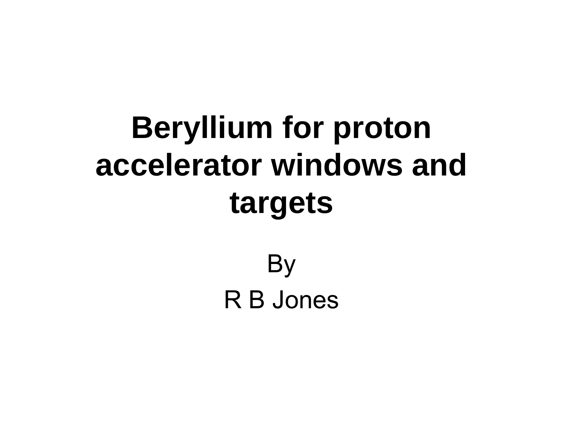# **Beryllium for proton accelerator windows and targets**

## **By** R B Jones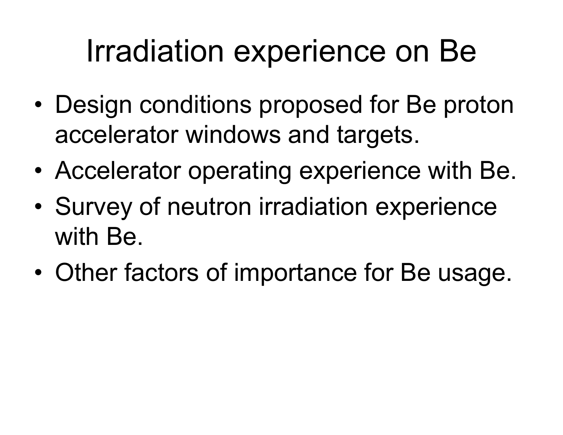# Irradiation experience on Be

- • Design conditions proposed for Be proton accelerator windows and targets.
- •Accelerator operating experience with Be.
- • Survey of neutron irradiation experience with Be.
- •Other factors of importance for Be usage.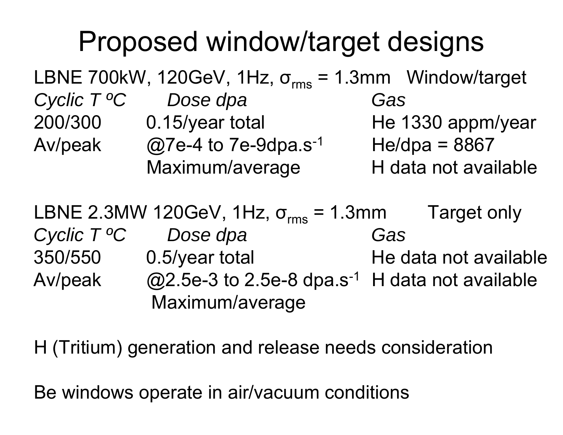## Proposed window/target designs

LBNE 700kW, 120GeV, 1Hz, σ<sub>rms</sub> = 1.3mm Window/target *Cyclic T ºC Dose dpa Gas* 200/300 0.15/year total He 1330 appm/year Av/peak  $@7e-4$  to 7e-9dpa.s<sup>-1</sup> He/dpa = 8867 Maximum/average H data not available

LBNE 2.3MW 120GeV, 1Hz,  $\sigma_{\rm rms}$  = 1.3mm  $\,\,\,\,\,\,\,\,\,$  Target only *Cyclic T ºC Dose dpa Gas* 350/550 0.5/year total He data not available Av/peak  $@2.5e-3$  to 2.5e-8 dpa.s<sup>-1</sup> H data not available Maximum/average

H (Tritium) generation and release needs consideration

Be windows operate in air/vacuum conditions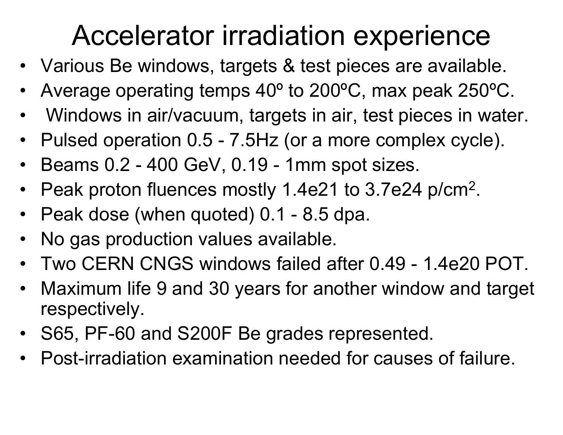## Accelerator irradiation experience

- Various Be windows, targets & test pieces are available.
- •Average operating temps 40º to 200ºC, max peak 250ºC.
- •Windows in air/vacuum, targets in air, test pieces in water.
- •Pulsed operation 0.5 - 7.5Hz (or a more complex cycle).
- •Beams 0.2 - 400 GeV, 0.19 - 1mm spot sizes.
- •Peak proton fluences mostly 1.4e21 to 3.7e24 p/cm<sup>2</sup>.
- •Peak dose (when quoted) 0.1 - 8.5 dpa.
- •No gas production values available.
- •Two CERN CNGS windows failed after 0.49 - 1.4e20 POT.
- • Maximum life 9 and 30 years for another window and target respectively.
- S65, PF-60 and S200F Be grades represented.
- Post-irradiation examination needed for causes of failure.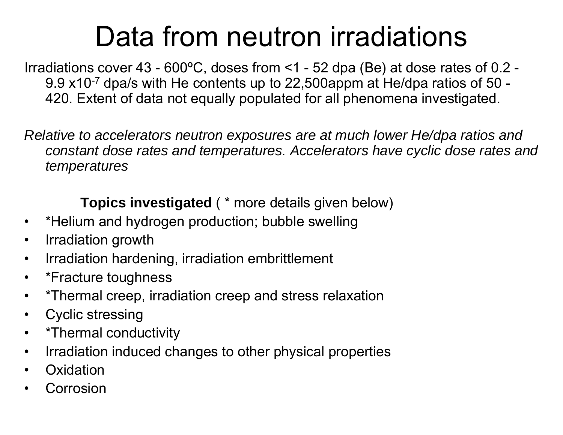# Data from neutron irradiations

Irradiations cover 43 - 600ºC, doses from <1 - 52 dpa (Be) at dose rates of 0.2 - 9.9 x10-7 dpa/s with He contents up to 22,500appm at He/dpa ratios of 50 - 420. Extent of data not equally populated for all phenomena investigated.

*Relative to accelerators neutron exposures are at much lower He/dpa ratios and constant dose rates and temperatures. Accelerators have cyclic dose rates and temperatures* 

**Topics investigated** ( \* more details given below)

- •\*Helium and hydrogen production; bubble swelling
- $\bullet$ Irradiation growth
- $\bullet$ Irradiation hardening, irradiation embrittlement
- $\bullet$ \*Fracture toughness
- $\bullet$ \*Thermal creep, irradiation creep and stress relaxation
- $\bullet$ Cyclic stressing
- $\bullet$ \*Thermal conductivity
- $\bullet$ Irradiation induced changes to other physical properties
- $\bullet$ **Oxidation**
- •Corrosion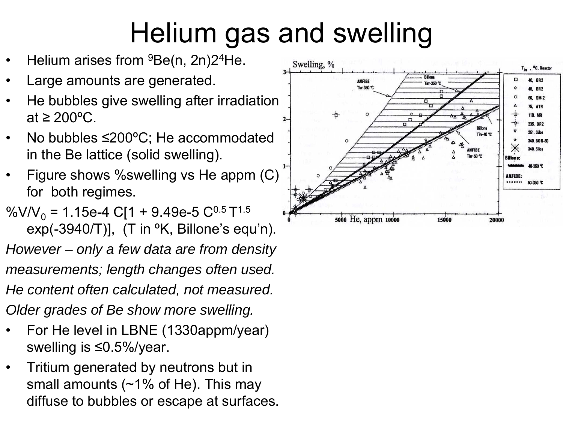# Helium gas and swelling

- •Helium arises from <sup>9</sup>Be(n, 2n)2<sup>4</sup>He.
- •Large amounts are generated.
- • He bubbles give swelling after irradiation at ≥ 200ºC.
- • No bubbles ≤200ºC; He accommodated in the Be lattice (solid swelling).
- • Figure shows %swelling vs He appm (C) for both regimes.
- %V/V $_{\rm 0}$  = 1.15e-4 C[1 + 9.49e-5 C<sup>0.5</sup> T<sup>1.5</sup> exp(-3940/T)], (T in ºK, Billone's equ'n). *However – only a few data are from density measurements; length changes often used. He content often calculated, not measured. Older grades of Be show more swelling.*
- • For He level in LBNE (1330appm/year) swelling is <sup>≤</sup>0.5%/year.
- • Tritium generated by neutrons but in small amounts (~1% of He). This may diffuse to bubbles or escape at surfaces.

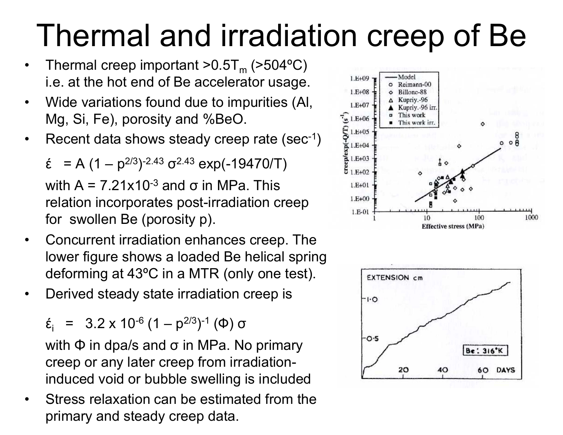# Thermal and irradiation creep of Be

- $\bullet$ Thermal creep important >0.5T $_{\sf m}$  (>504°C) i.e. at the hot end of Be accelerator usage.
- $\bullet$  Wide variations found due to impurities (Al, Mg, Si, Fe), porosity and %BeO.
- •Recent data shows steady creep rate (sec-1)

$$
\acute{\epsilon}
$$
 = A (1 – p<sup>2/3</sup>)<sup>-2.43</sup>  $\sigma$ <sup>2.43</sup> exp(-19470/T)

with A = 7.21x10<sup>-3</sup> and σ in MPa. This relation incorporates post-irradiation creep for swollen Be (porosity p).

- • Concurrent irradiation enhances creep. The lower figure shows a loaded Be helical spring deforming at 43ºC in a MTR (only one test).
- $\bullet$ Derived steady state irradiation creep is

έ $_{\rm i}$  = 3.2 x 10<sup>-6</sup> (1 – p<sup>2/3</sup>)<sup>-1</sup> (Φ) σ

with Φ in dpa/s and σ in MPa. No primary creep or any later creep from irradiationinduced void or bubble swelling is included

• Stress relaxation can be estimated from theprimary and steady creep data.



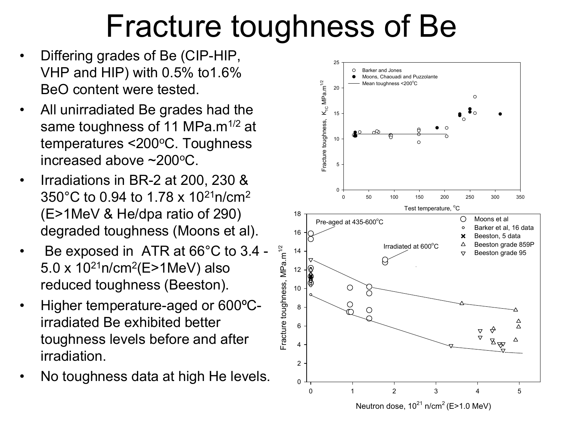# Fracture toughness of Be

- • Differing grades of Be (CIP-HIP, VHP and HIP) with 0.5% to1.6% BeO content were tested.
- • All unirradiated Be grades had the same toughness of 11 MPa.m<sup>1/2</sup> at temperatures <200ºC. Toughness increased above ~200ºC. $\,$
- • Irradiations in BR-2 at 200, 230 & 350°C to 0.94 to 1.78 x 10<sup>21</sup>n/cm<sup>2</sup> (E>1MeV & He/dpa ratio of 290) degraded toughness (Moons et al).
- • Be exposed in ATR at 66°C to 3.4 - 5.0 x 1021n/cm 2(E>1MeV) also reduced toughness (Beeston).
- • Higher temperature-aged or 600ºCirradiated Be exhibited better toughness levels before and after irradiation.
- •No toughness data at high He levels.

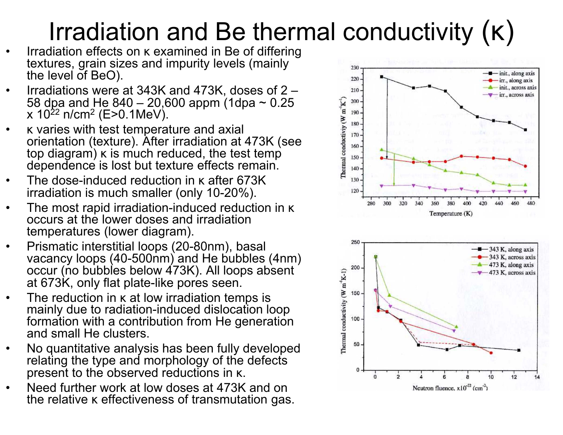## Irradiation and Be thermal conductivity ( κ )

- • Irradiation effects on κ examined in Be of differing textures, grain sizes and impurity levels (mainly the level of BeO).
- • Irradiations were at 343K and 473K, doses of 2 – 58 dpa and He  $840 - 20,600$  appm (1dpa  $\sim 0.25$ ) x 1022 n/cm 2 (E>0.1MeV).
- •• K varies with test temperature and axial orientation (texture). After irradiation at 473K (see top diagram) κ is much reduced, the test temp dependence is lost but texture effects remain.
- • The dose-induced reduction in κ after 673K irradiation is much smaller (only 10-20%).
- $\bullet$  The most rapid irradiation-induced reduction in κ occurs at the lower doses and irradiation temperatures (lower diagram).
- • Prismatic interstitial loops (20-80nm), basal vacancy loops (40-500nm) and He bubbles (4nm) occur (no bubbles below 473K). All loops absent at 673K, only flat plate-like pores seen.
- • The reduction in κ at low irradiation temps is mainly due to radiation-induced dislocation loop formation with a contribution from He generation and small He clusters.
- • No quantitative analysis has been fully developed relating the type and morphology of the defects present to the observed reductions in κ.
- • Need further work at low doses at 473K and on the relative κ effectiveness of transmutation gas.



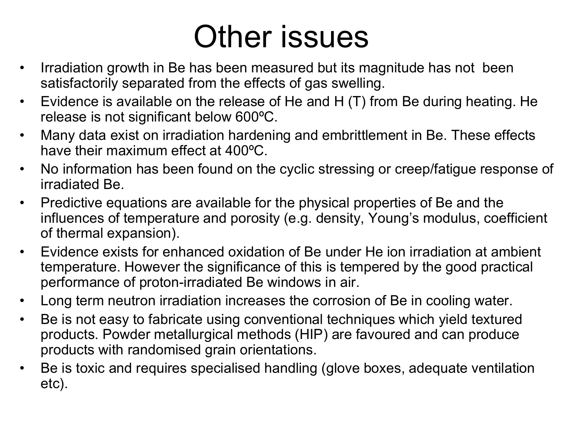# Other issues

- • Irradiation growth in Be has been measured but its magnitude has not been satisfactorily separated from the effects of gas swelling.
- • Evidence is available on the release of He and H (T) from Be during heating. He release is not significant below 600ºC.
- $\bullet$  Many data exist on irradiation hardening and embrittlement in Be. These effects have their maximum effect at 400ºC.
- $\bullet$  No information has been found on the cyclic stressing or creep/fatigue response of irradiated Be.
- $\bullet$  Predictive equations are available for the physical properties of Be and the influences of temperature and porosity (e.g. density, Young's modulus, coefficient of thermal expansion).
- $\bullet$  Evidence exists for enhanced oxidation of Be under He ion irradiation at ambient temperature. However the significance of this is tempered by the good practical performance of proton-irradiated Be windows in air.
- $\bullet$ Long term neutron irradiation increases the corrosion of Be in cooling water.
- $\bullet$  Be is not easy to fabricate using conventional techniques which yield textured products. Powder metallurgical methods (HIP) are favoured and can produce products with randomised grain orientations.
- • Be is toxic and requires specialised handling (glove boxes, adequate ventilation etc).